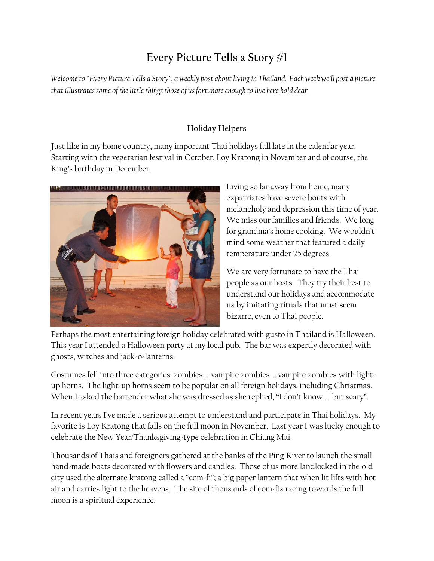## **Every Picture Tells a Story #1**

*Welcome to "Every Picture Tells a Story"; a weekly post about living in Thailand. Each week we'll post a picture that illustrates some of the little things those of us fortunate enough to live here hold dear.*

## **Holiday Helpers**

Just like in my home country, many important Thai holidays fall late in the calendar year. Starting with the vegetarian festival in October, Loy Kratong in November and of course, the King's birthday in December.



Living so far away from home, many expatriates have severe bouts with melancholy and depression this time of year. We miss our families and friends. We long for grandma's home cooking. We wouldn't mind some weather that featured a daily temperature under 25 degrees.

We are very fortunate to have the Thai people as our hosts. They try their best to understand our holidays and accommodate us by imitating rituals that must seem bizarre, even to Thai people.

Perhaps the most entertaining foreign holiday celebrated with gusto in Thailand is Halloween. This year I attended a Halloween party at my local pub. The bar was expertly decorated with ghosts, witches and jack-o-lanterns.

Costumes fell into three categories: zombies … vampire zombies … vampire zombies with lightup horns. The light-up horns seem to be popular on all foreign holidays, including Christmas. When I asked the bartender what she was dressed as she replied, "I don't know ... but scary".

In recent years I've made a serious attempt to understand and participate in Thai holidays. My favorite is Loy Kratong that falls on the full moon in November. Last year I was lucky enough to celebrate the New Year/Thanksgiving-type celebration in Chiang Mai.

Thousands of Thais and foreigners gathered at the banks of the Ping River to launch the small hand-made boats decorated with flowers and candles. Those of us more landlocked in the old city used the alternate kratong called a "com-fi"; a big paper lantern that when lit lifts with hot air and carries light to the heavens. The site of thousands of com-fis racing towards the full moon is a spiritual experience.